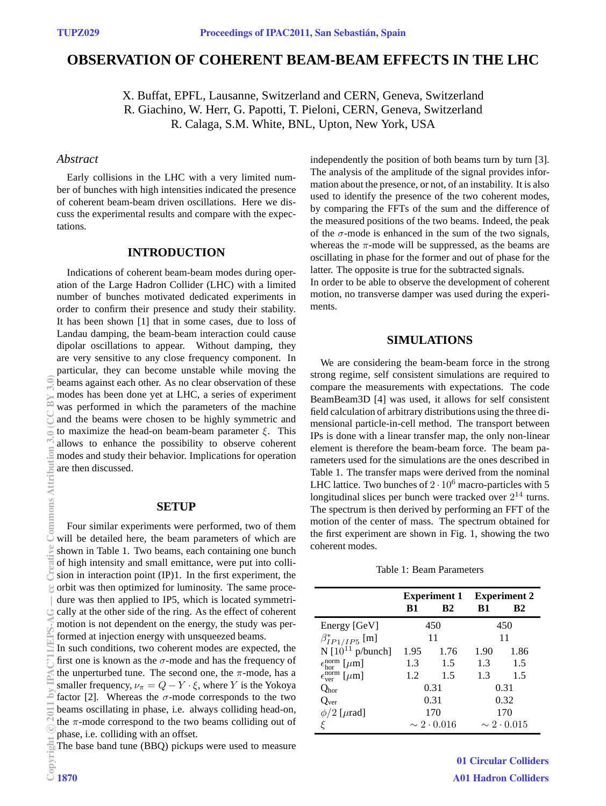# **OBSERVATION OF COHERENT BEAM-BEAM EFFECTS IN THE LHC**

X. Buffat, EPFL, Lausanne, Switzerland and CERN, Geneva, Switzerland R. Giachino, W. Herr, G. Papotti, T. Pieloni, CERN, Geneva, Switzerland R. Calaga, S.M. White, BNL, Upton, New York, USA

### *Abstract*

Early collisions in the LHC with a very limited number of bunches with high intensities indicated the presence of coherent beam-beam driven oscillations. Here we discuss the experimental results and compare with the expectations.

# **INTRODUCTION**

Indications of coherent beam-beam modes during operation of the Large Hadron Collider (LHC) with a limited number of bunches motivated dedicated experiments in order to confirm their presence and study their stability. It has been shown [1] that in some cases, due to loss of Landau damping, the beam-beam interaction could cause dipolar oscillations to appear. Without damping, they are very sensitive to any close frequency component. In particular, they can become unstable while moving the beams against each other. As no clear observation of these modes has been done yet at LHC, a series of experiment was performed in which the parameters of the machine and the beams were chosen to be highly symmetric and to maximize the head-on beam-beam parameter  $\xi$ . This allows to enhance the possibility to observe coherent modes and study their behavior. Implications for operation are then discussed.

#### **SETUP**

Four similar experiments were performed, two of them will be detailed here, the beam parameters of which are shown in Table 1. Two beams, each containing one bunch of high intensity and small emittance, were put into collision in interaction point (IP)1. In the first experiment, the orbit was then optimized for luminosity. The same procedure was then applied to IP5, which is located symmetrically at the other side of the ring. As the effect of coherent motion is not dependent on the energy, the study was performed at injection energy with unsqueezed beams.

In such conditions, two coherent modes are expected, the first one is known as the  $\sigma$ -mode and has the frequency of the unperturbed tune. The second one, the  $\pi$ -mode, has a smaller frequency,  $\nu_{\pi} = Q - Y \cdot \xi$ , where Y is the Yokoya factor [2]. Whereas the  $\sigma$ -mode corresponds to the two beams oscillating in phase, i.e. always colliding head-on, the  $\pi$ -mode correspond to the two beams colliding out of phase, i.e. colliding with an offset.

The base band tune (BBQ) pickups were used to measure

independently the position of both beams turn by turn [3]. The analysis of the amplitude of the signal provides information about the presence, or not, of an instability. It is also used to identify the presence of the two coherent modes, by comparing the FFTs of the sum and the difference of the measured positions of the two beams. Indeed, the peak of the  $\sigma$ -mode is enhanced in the sum of the two signals, whereas the  $\pi$ -mode will be suppressed, as the beams are oscillating in phase for the former and out of phase for the latter. The opposite is true for the subtracted signals.

In order to be able to observe the development of coherent motion, no transverse damper was used during the experiments.

# **SIMULATIONS**

We are considering the beam-beam force in the strong strong regime, self consistent simulations are required to compare the measurements with expectations. The code BeamBeam3D [4] was used, it allows for self consistent field calculation of arbitrary distributions using the three dimensional particle-in-cell method. The transport between IPs is done with a linear transfer map, the only non-linear element is therefore the beam-beam force. The beam parameters used for the simulations are the ones described in Table 1. The transfer maps were derived from the nominal LHC lattice. Two bunches of  $2 \cdot 10^6$  macro-particles with 5 longitudinal slices per bunch were tracked over  $2^{14}$  turns. The spectrum is then derived by performing an FFT of the motion of the center of mass. The spectrum obtained for the first experiment are shown in Fig. 1, showing the two coherent modes.

Table 1: Beam Parameters

|                                            | <b>B1</b>            | <b>Experiment 1</b> Experiment 2<br>B2 | B1                   | R <sub>2</sub> |
|--------------------------------------------|----------------------|----------------------------------------|----------------------|----------------|
| Energy [GeV]                               | 450                  |                                        | 450                  |                |
| $\beta_{IP1/IP5}^{*}$ [m]                  | 11                   |                                        | 11                   |                |
| N $[10^{11}$ p/bunch]                      | 1.95                 | 1.76                                   | 1.90                 | 1.86           |
| $\epsilon_{\rm hor}^{\rm norm}$ [ $\mu$ m] | 1.3                  | 1.5                                    | 1.3                  | 1.5            |
| $\epsilon_{\rm ver}^{\rm norm}$ [ $\mu$ m] | 1.2                  | 1.5                                    | 1.3                  | 1.5            |
| $Q_{\rm hor}$                              | 0.31                 |                                        | 0.31                 |                |
| Q <sub>ver</sub>                           | 0.31                 |                                        | 0.32                 |                |
| $\phi/2$ [ $\mu$ rad]                      | 170                  |                                        | 170                  |                |
|                                            | $\sim 2 \cdot 0.016$ |                                        | $\sim 2 \cdot 0.015$ |                |

01 Circular Colliders A01 Hadron Colliders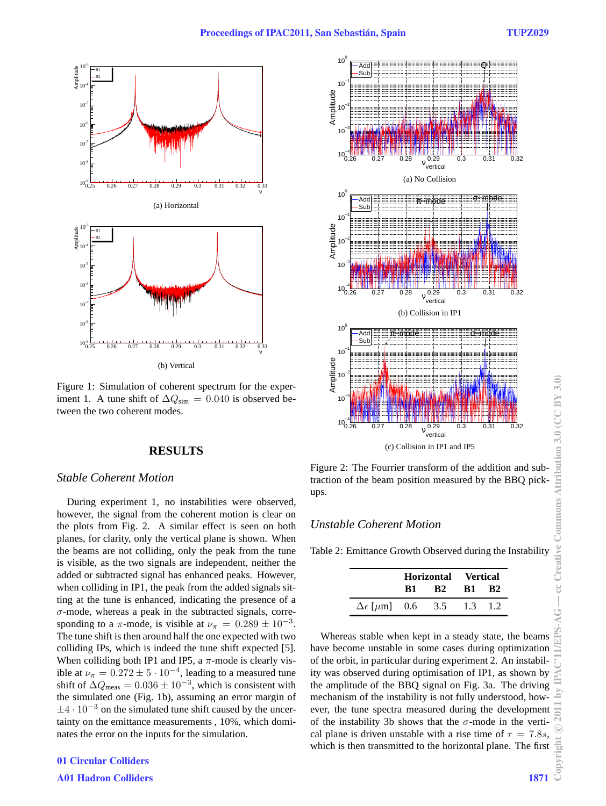

Figure 1: Simulation of coherent spectrum for the experiment 1. A tune shift of  $\Delta Q_{\text{sim}} = 0.040$  is observed between the two coherent modes.

## **RESULTS**

#### *Stable Coherent Motion*

During experiment 1, no instabilities were observed, however, the signal from the coherent motion is clear on the plots from Fig. 2. A similar effect is seen on both planes, for clarity, only the vertical plane is shown. When the beams are not colliding, only the peak from the tune is visible, as the two signals are independent, neither the added or subtracted signal has enhanced peaks. However, when colliding in IP1, the peak from the added signals sitting at the tune is enhanced, indicating the presence of a  $\sigma$ -mode, whereas a peak in the subtracted signals, corresponding to a  $\pi$ -mode, is visible at  $\nu_{\pi} = 0.289 \pm 10^{-3}$ . The tune shift is then around half the one expected with two colliding IPs, which is indeed the tune shift expected [5]. When colliding both IP1 and IP5, a  $\pi$ -mode is clearly visible at  $\nu_{\pi} = 0.272 \pm 5 \cdot 10^{-4}$ , leading to a measured tune shift of  $\Delta Q_{\text{meas}} = 0.036 \pm 10^{-3}$ , which is consistent with the simulated one (Fig. 1b), assuming an error margin of  $\pm 4 \cdot 10^{-3}$  on the simulated tune shift caused by the uncertainty on the emittance measurements , 10%, which dominates the error on the inputs for the simulation.

# 01 Circular Colliders

A01 Hadron Colliders 1871



Figure 2: The Fourrier transform of the addition and subtraction of the beam position measured by the BBQ pickups.

### *Unstable Coherent Motion*

Table 2: Emittance Growth Observed during the Instability

|                                          | Horizontal Vertical |           |           |     |
|------------------------------------------|---------------------|-----------|-----------|-----|
|                                          | <b>B1</b>           | <b>B2</b> | <b>B1</b> | -R2 |
| $\Delta \epsilon$ [ $\mu$ m] 0.6 3.5 1.3 |                     |           |           | -12 |

Whereas stable when kept in a steady state, the beams have become unstable in some cases during optimization of the orbit, in particular during experiment 2. An instability was observed during optimisation of IP1, as shown by the amplitude of the BBQ signal on Fig. 3a. The driving mechanism of the instability is not fully understood, however, the tune spectra measured during the development of the instability 3b shows that the  $\sigma$ -mode in the vertical plane is driven unstable with a rise time of  $\tau = 7.8s$ , which is then transmitted to the horizontal plane. The first